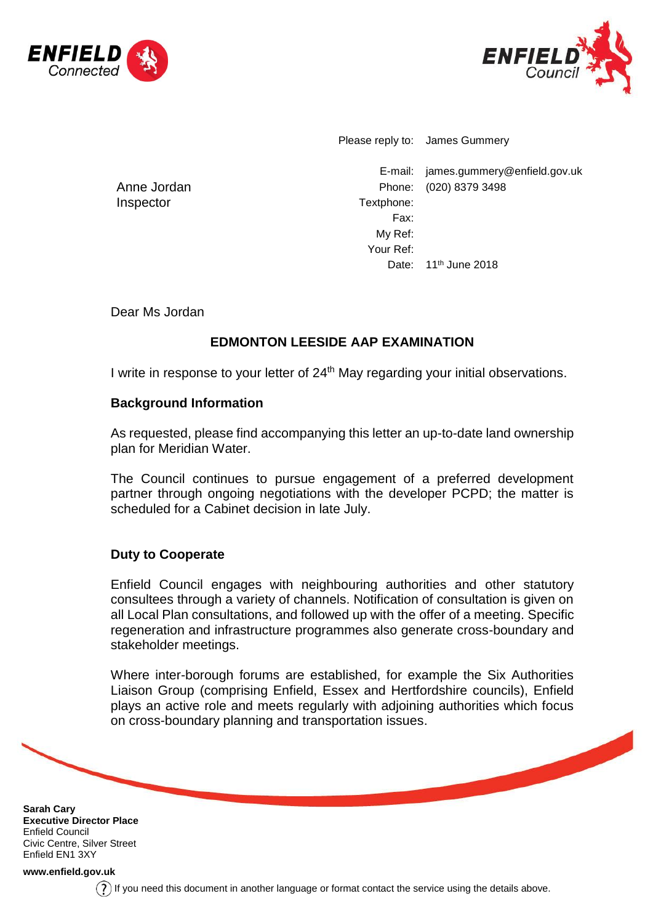



Please reply to: James Gummery

E-mail: james.gummery@enfield.gov.uk Phone: (020) 8379 3498 Textphone: Fax: My Ref: Your Ref: Date: 11<sup>th</sup> June 2018

Anne Jordan Inspector

Dear Ms Jordan

# **EDMONTON LEESIDE AAP EXAMINATION**

I write in response to your letter of 24<sup>th</sup> May regarding your initial observations.

### **Background Information**

As requested, please find accompanying this letter an up-to-date land ownership plan for Meridian Water.

The Council continues to pursue engagement of a preferred development partner through ongoing negotiations with the developer PCPD; the matter is scheduled for a Cabinet decision in late July.

# **Duty to Cooperate**

Enfield Council engages with neighbouring authorities and other statutory consultees through a variety of channels. Notification of consultation is given on all Local Plan consultations, and followed up with the offer of a meeting. Specific regeneration and infrastructure programmes also generate cross-boundary and stakeholder meetings.

Where inter-borough forums are established, for example the Six Authorities Liaison Group (comprising Enfield, Essex and Hertfordshire councils), Enfield plays an active role and meets regularly with adjoining authorities which focus on cross-boundary planning and transportation issues.

**Sarah Cary Executive Director Place** Enfield Council Civic Centre, Silver Street Enfield EN1 3XY

**[www.enfield.gov.uk](http://www.enfield.gov.uk/)**

 $(?)$  If you need this document in another language or format contact the service using the details above.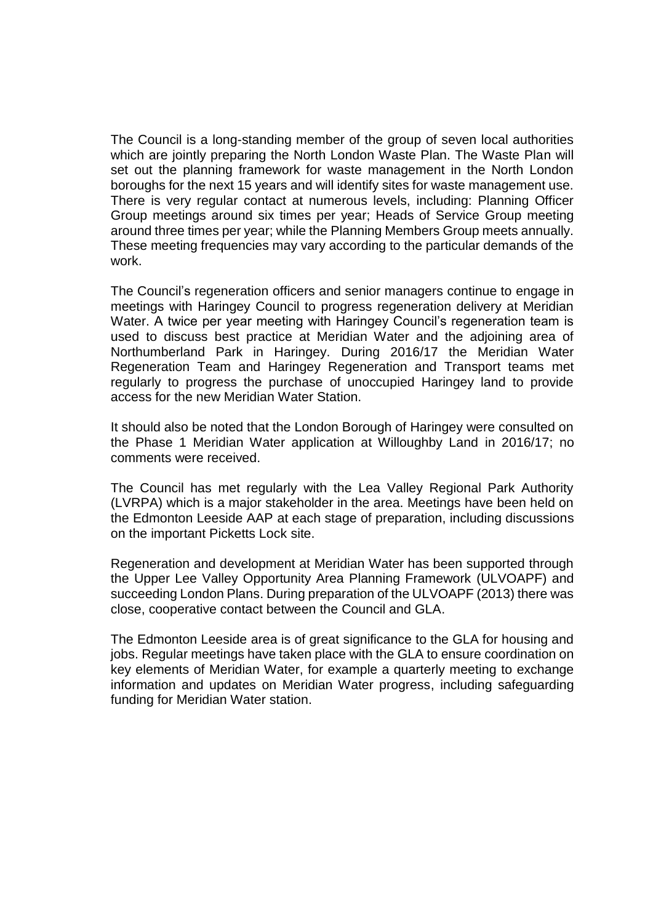The Council is a long-standing member of the group of seven local authorities which are jointly preparing the North London Waste Plan. The Waste Plan will set out the planning framework for waste management in the North London boroughs for the next 15 years and will identify sites for waste management use. There is very regular contact at numerous levels, including: Planning Officer Group meetings around six times per year; Heads of Service Group meeting around three times per year; while the Planning Members Group meets annually. These meeting frequencies may vary according to the particular demands of the work.

The Council's regeneration officers and senior managers continue to engage in meetings with Haringey Council to progress regeneration delivery at Meridian Water. A twice per year meeting with Haringey Council's regeneration team is used to discuss best practice at Meridian Water and the adjoining area of Northumberland Park in Haringey. During 2016/17 the Meridian Water Regeneration Team and Haringey Regeneration and Transport teams met regularly to progress the purchase of unoccupied Haringey land to provide access for the new Meridian Water Station.

It should also be noted that the London Borough of Haringey were consulted on the Phase 1 Meridian Water application at Willoughby Land in 2016/17; no comments were received.

The Council has met regularly with the Lea Valley Regional Park Authority (LVRPA) which is a major stakeholder in the area. Meetings have been held on the Edmonton Leeside AAP at each stage of preparation, including discussions on the important Picketts Lock site.

Regeneration and development at Meridian Water has been supported through the Upper Lee Valley Opportunity Area Planning Framework (ULVOAPF) and succeeding London Plans. During preparation of the ULVOAPF (2013) there was close, cooperative contact between the Council and GLA.

The Edmonton Leeside area is of great significance to the GLA for housing and jobs. Regular meetings have taken place with the GLA to ensure coordination on key elements of Meridian Water, for example a quarterly meeting to exchange information and updates on Meridian Water progress, including safeguarding funding for Meridian Water station.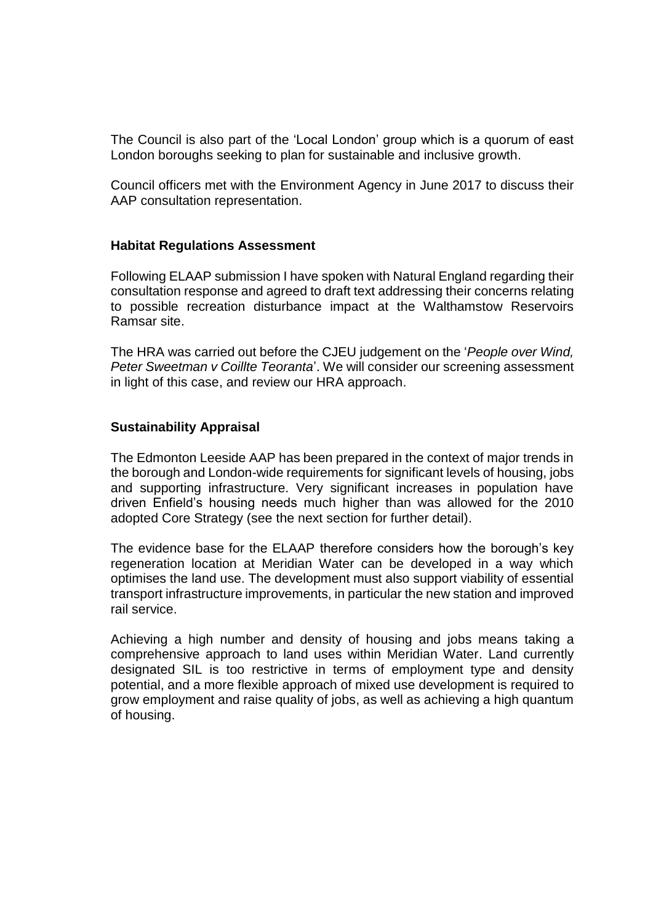The Council is also part of the 'Local London' group which is a quorum of east London boroughs seeking to plan for sustainable and inclusive growth.

Council officers met with the Environment Agency in June 2017 to discuss their AAP consultation representation.

#### **Habitat Regulations Assessment**

Following ELAAP submission I have spoken with Natural England regarding their consultation response and agreed to draft text addressing their concerns relating to possible recreation disturbance impact at the Walthamstow Reservoirs Ramsar site.

The HRA was carried out before the CJEU judgement on the '*People over Wind, Peter Sweetman v Coillte Teoranta*'. We will consider our screening assessment in light of this case, and review our HRA approach.

#### **Sustainability Appraisal**

The Edmonton Leeside AAP has been prepared in the context of major trends in the borough and London-wide requirements for significant levels of housing, jobs and supporting infrastructure. Very significant increases in population have driven Enfield's housing needs much higher than was allowed for the 2010 adopted Core Strategy (see the next section for further detail).

The evidence base for the ELAAP therefore considers how the borough's key regeneration location at Meridian Water can be developed in a way which optimises the land use. The development must also support viability of essential transport infrastructure improvements, in particular the new station and improved rail service.

Achieving a high number and density of housing and jobs means taking a comprehensive approach to land uses within Meridian Water. Land currently designated SIL is too restrictive in terms of employment type and density potential, and a more flexible approach of mixed use development is required to grow employment and raise quality of jobs, as well as achieving a high quantum of housing.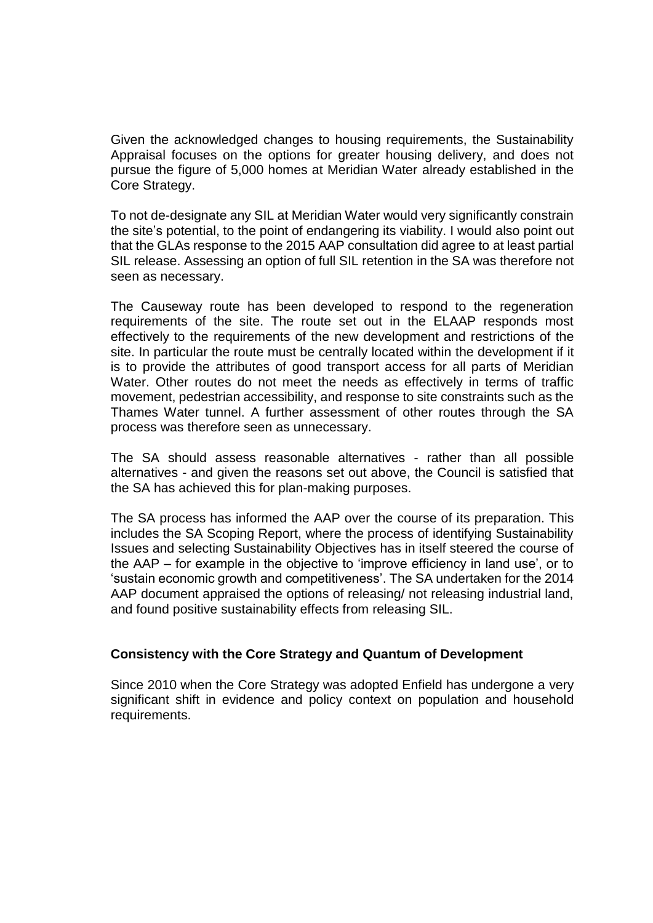Given the acknowledged changes to housing requirements, the Sustainability Appraisal focuses on the options for greater housing delivery, and does not pursue the figure of 5,000 homes at Meridian Water already established in the Core Strategy.

To not de-designate any SIL at Meridian Water would very significantly constrain the site's potential, to the point of endangering its viability. I would also point out that the GLAs response to the 2015 AAP consultation did agree to at least partial SIL release. Assessing an option of full SIL retention in the SA was therefore not seen as necessary.

The Causeway route has been developed to respond to the regeneration requirements of the site. The route set out in the ELAAP responds most effectively to the requirements of the new development and restrictions of the site. In particular the route must be centrally located within the development if it is to provide the attributes of good transport access for all parts of Meridian Water. Other routes do not meet the needs as effectively in terms of traffic movement, pedestrian accessibility, and response to site constraints such as the Thames Water tunnel. A further assessment of other routes through the SA process was therefore seen as unnecessary.

The SA should assess reasonable alternatives - rather than all possible alternatives - and given the reasons set out above, the Council is satisfied that the SA has achieved this for plan-making purposes.

The SA process has informed the AAP over the course of its preparation. This includes the SA Scoping Report, where the process of identifying Sustainability Issues and selecting Sustainability Objectives has in itself steered the course of the AAP – for example in the objective to 'improve efficiency in land use', or to 'sustain economic growth and competitiveness'. The SA undertaken for the 2014 AAP document appraised the options of releasing/ not releasing industrial land, and found positive sustainability effects from releasing SIL.

#### **Consistency with the Core Strategy and Quantum of Development**

Since 2010 when the Core Strategy was adopted Enfield has undergone a very significant shift in evidence and policy context on population and household requirements.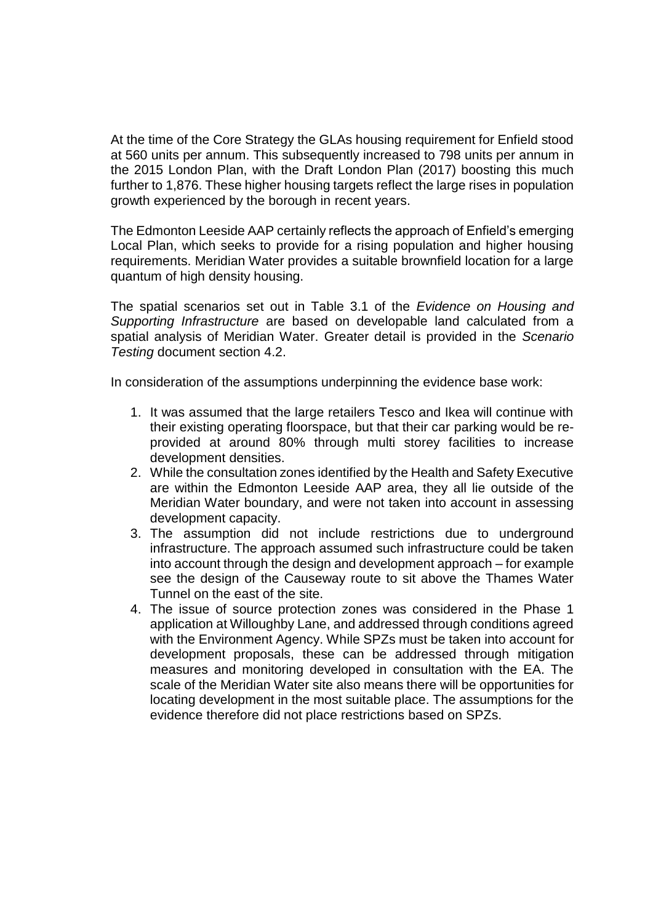At the time of the Core Strategy the GLAs housing requirement for Enfield stood at 560 units per annum. This subsequently increased to 798 units per annum in the 2015 London Plan, with the Draft London Plan (2017) boosting this much further to 1,876. These higher housing targets reflect the large rises in population growth experienced by the borough in recent years.

The Edmonton Leeside AAP certainly reflects the approach of Enfield's emerging Local Plan, which seeks to provide for a rising population and higher housing requirements. Meridian Water provides a suitable brownfield location for a large quantum of high density housing.

The spatial scenarios set out in Table 3.1 of the *Evidence on Housing and Supporting Infrastructure* are based on developable land calculated from a spatial analysis of Meridian Water. Greater detail is provided in the *Scenario Testing* document section 4.2.

In consideration of the assumptions underpinning the evidence base work:

- 1. It was assumed that the large retailers Tesco and Ikea will continue with their existing operating floorspace, but that their car parking would be reprovided at around 80% through multi storey facilities to increase development densities.
- 2. While the consultation zones identified by the Health and Safety Executive are within the Edmonton Leeside AAP area, they all lie outside of the Meridian Water boundary, and were not taken into account in assessing development capacity.
- 3. The assumption did not include restrictions due to underground infrastructure. The approach assumed such infrastructure could be taken into account through the design and development approach – for example see the design of the Causeway route to sit above the Thames Water Tunnel on the east of the site.
- 4. The issue of source protection zones was considered in the Phase 1 application at Willoughby Lane, and addressed through conditions agreed with the Environment Agency. While SPZs must be taken into account for development proposals, these can be addressed through mitigation measures and monitoring developed in consultation with the EA. The scale of the Meridian Water site also means there will be opportunities for locating development in the most suitable place. The assumptions for the evidence therefore did not place restrictions based on SPZs.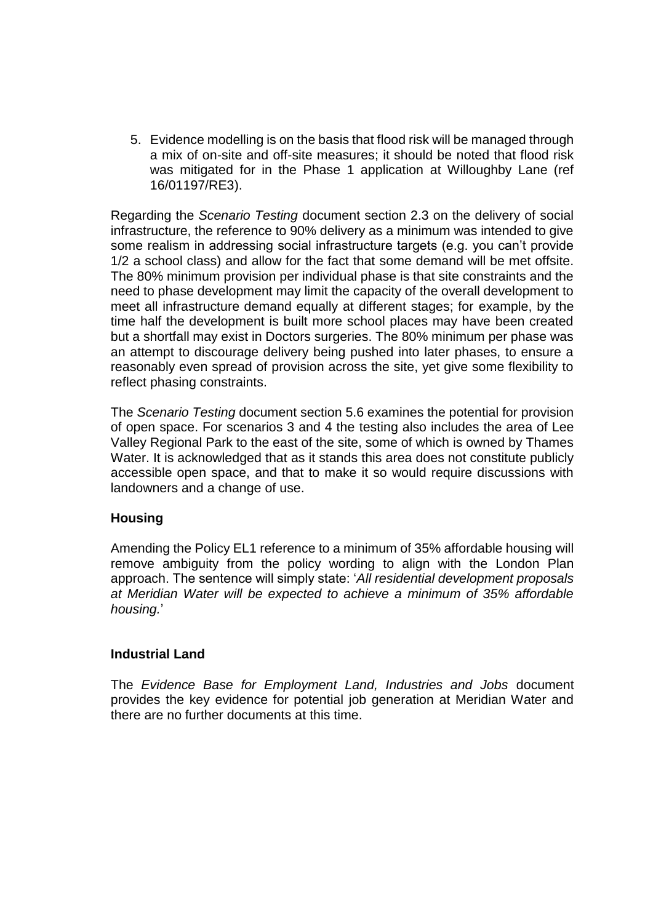5. Evidence modelling is on the basis that flood risk will be managed through a mix of on-site and off-site measures; it should be noted that flood risk was mitigated for in the Phase 1 application at Willoughby Lane (ref 16/01197/RE3).

Regarding the *Scenario Testing* document section 2.3 on the delivery of social infrastructure, the reference to 90% delivery as a minimum was intended to give some realism in addressing social infrastructure targets (e.g. you can't provide 1/2 a school class) and allow for the fact that some demand will be met offsite. The 80% minimum provision per individual phase is that site constraints and the need to phase development may limit the capacity of the overall development to meet all infrastructure demand equally at different stages; for example, by the time half the development is built more school places may have been created but a shortfall may exist in Doctors surgeries. The 80% minimum per phase was an attempt to discourage delivery being pushed into later phases, to ensure a reasonably even spread of provision across the site, yet give some flexibility to reflect phasing constraints.

The *Scenario Testing* document section 5.6 examines the potential for provision of open space. For scenarios 3 and 4 the testing also includes the area of Lee Valley Regional Park to the east of the site, some of which is owned by Thames Water. It is acknowledged that as it stands this area does not constitute publicly accessible open space, and that to make it so would require discussions with landowners and a change of use.

# **Housing**

Amending the Policy EL1 reference to a minimum of 35% affordable housing will remove ambiguity from the policy wording to align with the London Plan approach. The sentence will simply state: '*All residential development proposals at Meridian Water will be expected to achieve a minimum of 35% affordable housing.*'

#### **Industrial Land**

The *Evidence Base for Employment Land, Industries and Jobs* document provides the key evidence for potential job generation at Meridian Water and there are no further documents at this time.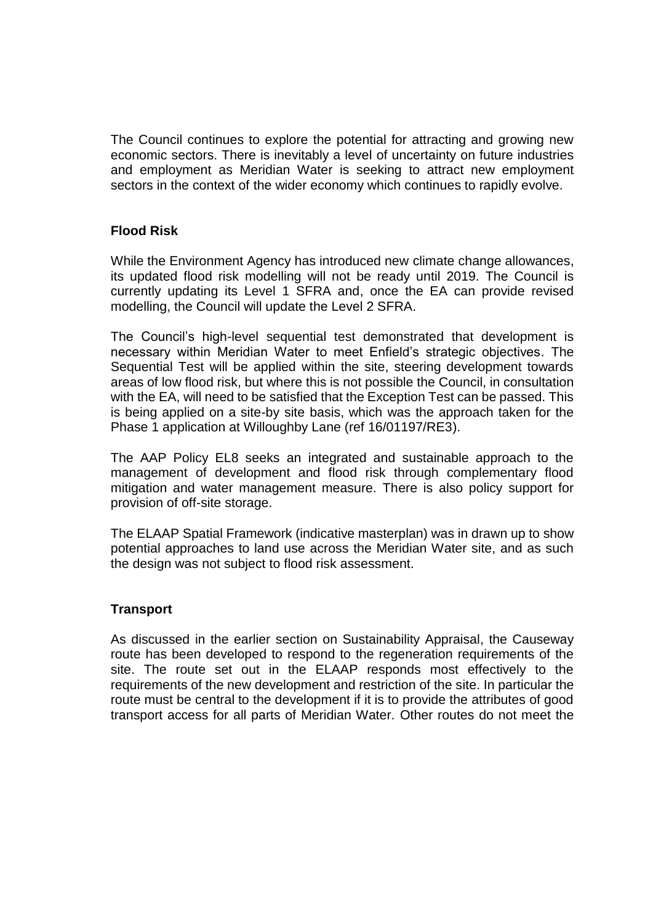The Council continues to explore the potential for attracting and growing new economic sectors. There is inevitably a level of uncertainty on future industries and employment as Meridian Water is seeking to attract new employment sectors in the context of the wider economy which continues to rapidly evolve.

### **Flood Risk**

While the Environment Agency has introduced new climate change allowances, its updated flood risk modelling will not be ready until 2019. The Council is currently updating its Level 1 SFRA and, once the EA can provide revised modelling, the Council will update the Level 2 SFRA.

The Council's high-level sequential test demonstrated that development is necessary within Meridian Water to meet Enfield's strategic objectives. The Sequential Test will be applied within the site, steering development towards areas of low flood risk, but where this is not possible the Council, in consultation with the EA, will need to be satisfied that the Exception Test can be passed. This is being applied on a site-by site basis, which was the approach taken for the Phase 1 application at Willoughby Lane (ref 16/01197/RE3).

The AAP Policy EL8 seeks an integrated and sustainable approach to the management of development and flood risk through complementary flood mitigation and water management measure. There is also policy support for provision of off-site storage.

The ELAAP Spatial Framework (indicative masterplan) was in drawn up to show potential approaches to land use across the Meridian Water site, and as such the design was not subject to flood risk assessment.

#### **Transport**

As discussed in the earlier section on Sustainability Appraisal, the Causeway route has been developed to respond to the regeneration requirements of the site. The route set out in the ELAAP responds most effectively to the requirements of the new development and restriction of the site. In particular the route must be central to the development if it is to provide the attributes of good transport access for all parts of Meridian Water. Other routes do not meet the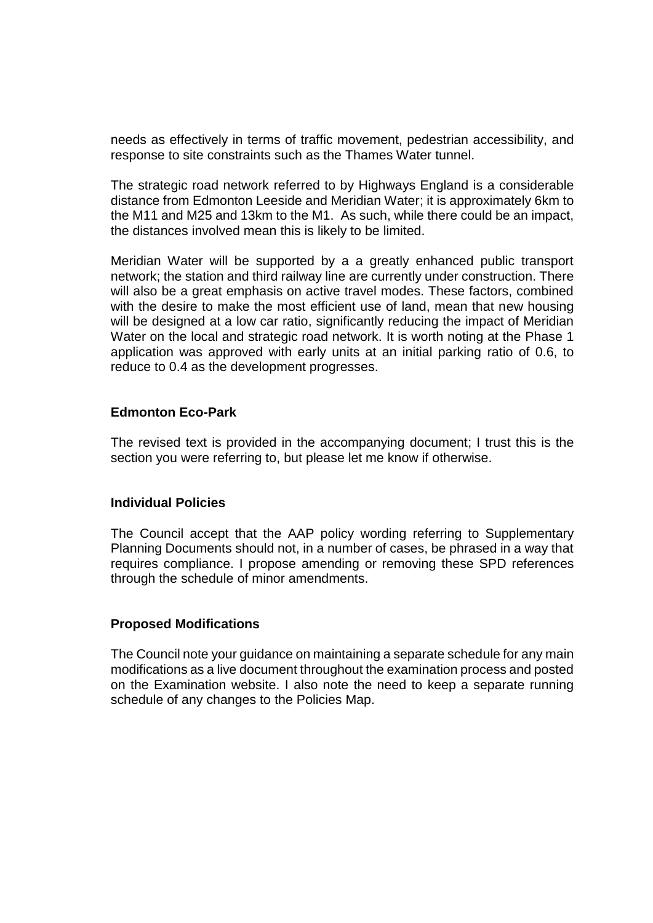needs as effectively in terms of traffic movement, pedestrian accessibility, and response to site constraints such as the Thames Water tunnel.

The strategic road network referred to by Highways England is a considerable distance from Edmonton Leeside and Meridian Water; it is approximately 6km to the M11 and M25 and 13km to the M1. As such, while there could be an impact, the distances involved mean this is likely to be limited.

Meridian Water will be supported by a a greatly enhanced public transport network; the station and third railway line are currently under construction. There will also be a great emphasis on active travel modes. These factors, combined with the desire to make the most efficient use of land, mean that new housing will be designed at a low car ratio, significantly reducing the impact of Meridian Water on the local and strategic road network. It is worth noting at the Phase 1 application was approved with early units at an initial parking ratio of 0.6, to reduce to 0.4 as the development progresses.

#### **Edmonton Eco-Park**

The revised text is provided in the accompanying document; I trust this is the section you were referring to, but please let me know if otherwise.

#### **Individual Policies**

The Council accept that the AAP policy wording referring to Supplementary Planning Documents should not, in a number of cases, be phrased in a way that requires compliance. I propose amending or removing these SPD references through the schedule of minor amendments.

#### **Proposed Modifications**

The Council note your guidance on maintaining a separate schedule for any main modifications as a live document throughout the examination process and posted on the Examination website. I also note the need to keep a separate running schedule of any changes to the Policies Map.